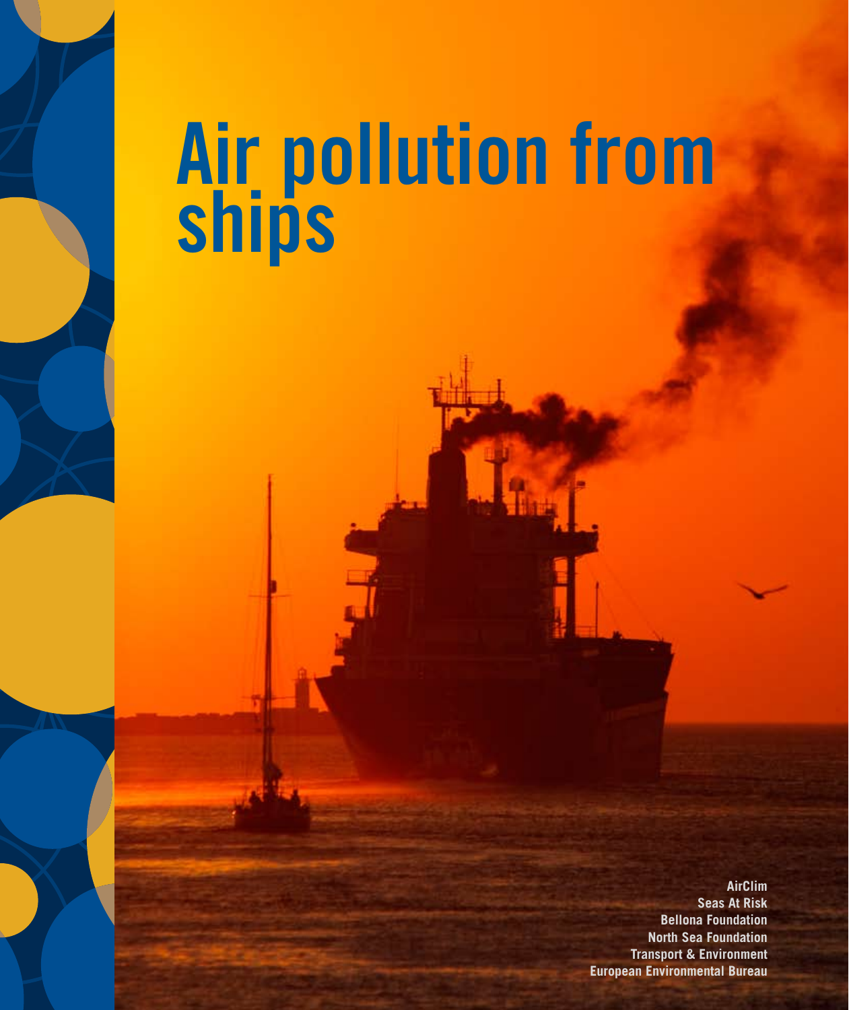# **Air pollution from ships**

**AirClim Seas At Risk Bellona Foundation North Sea Foundation Transport & Environment European Environmental Bureau**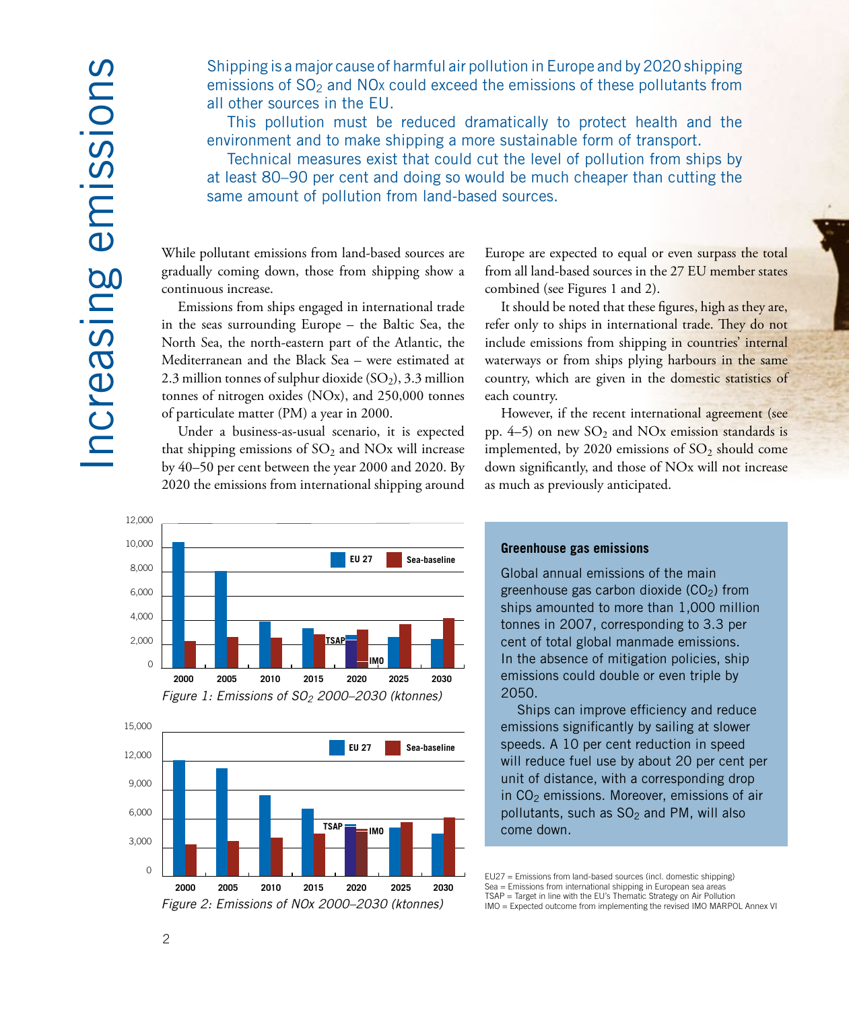Shipping is a major cause of harmful air pollution in Europe and by 2020 shipping emissions of SO<sub>2</sub> and NO<sub>x</sub> could exceed the emissions of these pollutants from all other sources in the EU.

This pollution must be reduced dramatically to protect health and the environment and to make shipping a more sustainable form of transport.

Technical measures exist that could cut the level of pollution from ships by at least 80–90 per cent and doing so would be much cheaper than cutting the same amount of pollution from land-based sources.

While pollutant emissions from land-based sources are gradually coming down, those from shipping show a continuous increase.

Emissions from ships engaged in international trade in the seas surrounding Europe – the Baltic Sea, the North Sea, the north-eastern part of the Atlantic, the Mediterranean and the Black Sea – were estimated at 2.3 million tonnes of sulphur dioxide  $(SO<sub>2</sub>)$ , 3.3 million tonnes of nitrogen oxides (NOx), and 250,000 tonnes of particulate matter (PM) a year in 2000.

Under a business-as-usual scenario, it is expected that shipping emissions of  $SO_2$  and  $NOx$  will increase by 40–50 per cent between the year 2000 and 2020. By 2020 the emissions from international shipping around

Europe are expected to equal or even surpass the total from all land-based sources in the 27 EU member states combined (see Figures 1 and 2).

It should be noted that these figures, high as they are, refer only to ships in international trade. They do not include emissions from shipping in countries' internal waterways or from ships plying harbours in the same country, which are given in the domestic statistics of each country.

However, if the recent international agreement (see pp.  $4-5$ ) on new  $SO_2$  and NOx emission standards is implemented, by 2020 emissions of  $SO<sub>2</sub>$  should come down significantly, and those of NOx will not increase as much as previously anticipated.





#### **Greenhouse gas emissions**

Global annual emissions of the main greenhouse gas carbon dioxide  $(CO<sub>2</sub>)$  from ships amounted to more than 1,000 million tonnes in 2007, corresponding to 3.3 per cent of total global manmade emissions. In the absence of mitigation policies, ship emissions could double or even triple by 2050.

Ships can improve efficiency and reduce emissions significantly by sailing at slower speeds. A 10 per cent reduction in speed will reduce fuel use by about 20 per cent per unit of distance, with a corresponding drop in  $CO<sub>2</sub>$  emissions. Moreover, emissions of air pollutants, such as  $SO<sub>2</sub>$  and PM, will also come down.

EU27 = Emissions from land-based sources (incl. domestic shipping) Sea = Emissions from international shipping in European sea areas<br>TSAP = Target in line with the EU's Thematic Strategy on Air Pollution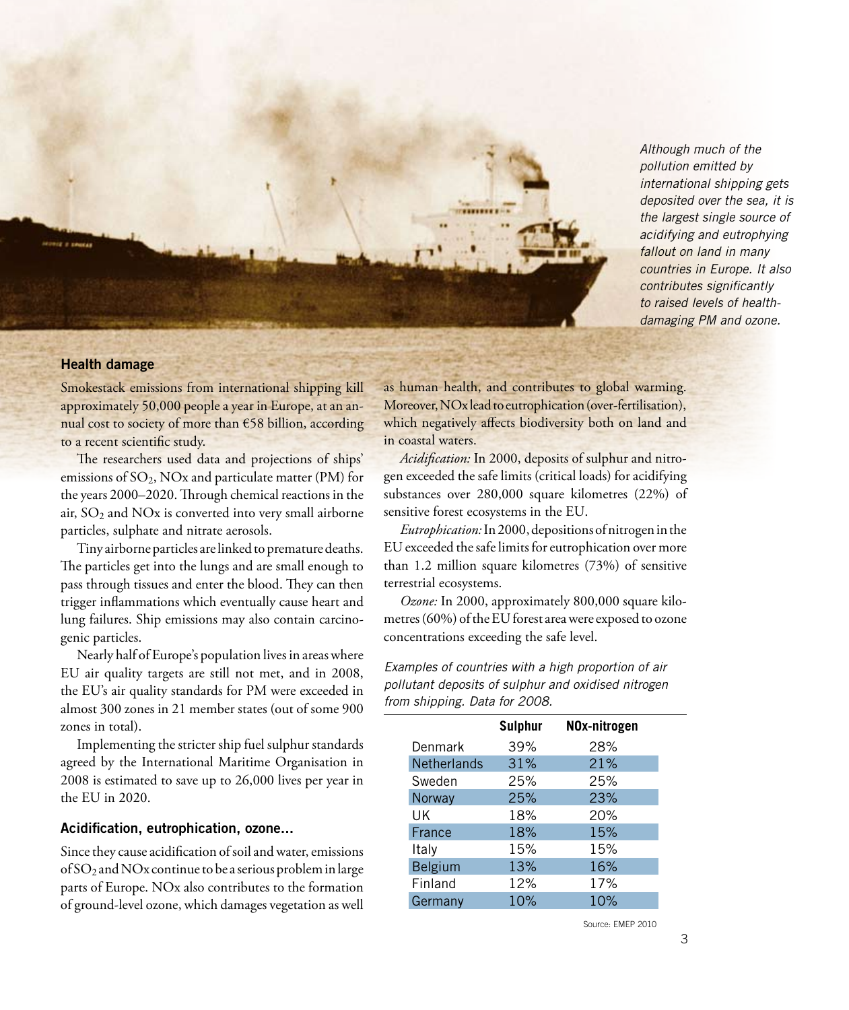*Although much of the pollution emitted by international shipping gets deposited over the sea, it is the largest single source of acidifying and eutrophying fallout on land in many countries in Europe. It also contributes significantly to raised levels of healthdamaging PM and ozone.*

#### **Health damage**

Smokestack emissions from international shipping kill approximately 50,000 people a year in Europe, at an annual cost to society of more than €58 billion, according to a recent scientific study.

The researchers used data and projections of ships' emissions of SO<sub>2</sub>, NO<sub>x</sub> and particulate matter (PM) for the years 2000–2020. Through chemical reactions in the air,  $SO<sub>2</sub>$  and  $NOx$  is converted into very small airborne particles, sulphate and nitrate aerosols.

Tiny airborne particles are linked to premature deaths. The particles get into the lungs and are small enough to pass through tissues and enter the blood. They can then trigger inflammations which eventually cause heart and lung failures. Ship emissions may also contain carcinogenic particles.

Nearly half of Europe's population lives in areas where EU air quality targets are still not met, and in 2008, the EU's air quality standards for PM were exceeded in almost 300 zones in 21 member states (out of some 900 zones in total).

Implementing the stricter ship fuel sulphur standards agreed by the International Maritime Organisation in 2008 is estimated to save up to 26,000 lives per year in the EU in 2020.

#### **Acidification, eutrophication, ozone...**

Since they cause acidification of soil and water, emissions of SO2 and NOx continue to be a serious problem in large parts of Europe. NOx also contributes to the formation of ground-level ozone, which damages vegetation as well

as human health, and contributes to global warming. Moreover, NOx lead to eutrophication (over-fertilisation), which negatively affects biodiversity both on land and in coastal waters.

*Acidification:* In 2000, deposits of sulphur and nitrogen exceeded the safe limits (critical loads) for acidifying substances over 280,000 square kilometres (22%) of sensitive forest ecosystems in the EU.

*Eutrophication:*In 2000, depositions of nitrogen in the EU exceeded the safe limits for eutrophication over more than 1.2 million square kilometres (73%) of sensitive terrestrial ecosystems.

*Ozone:* In 2000, approximately 800,000 square kilometres (60%) of the EU forest area were exposed to ozone concentrations exceeding the safe level.

*Examples of countries with a high proportion of air pollutant deposits of sulphur and oxidised nitrogen from shipping. Data for 2008.*

|                    | <b>Sulphur</b> | NOx-nitrogen |
|--------------------|----------------|--------------|
| Denmark            | 39%            | 28%          |
| <b>Netherlands</b> | 31%            | 21%          |
| Sweden             | 25%            | 25%          |
| Norway             | 25%            | 23%          |
| UK                 | 18%            | 20%          |
| France             | 18%            | 15%          |
| Italy              | 15%            | 15%          |
| Belgium            | 13%            | 16%          |
| Finland            | 12%            | 17%          |
| Germany            | 10%            | 10%          |

Source: EMEP 2010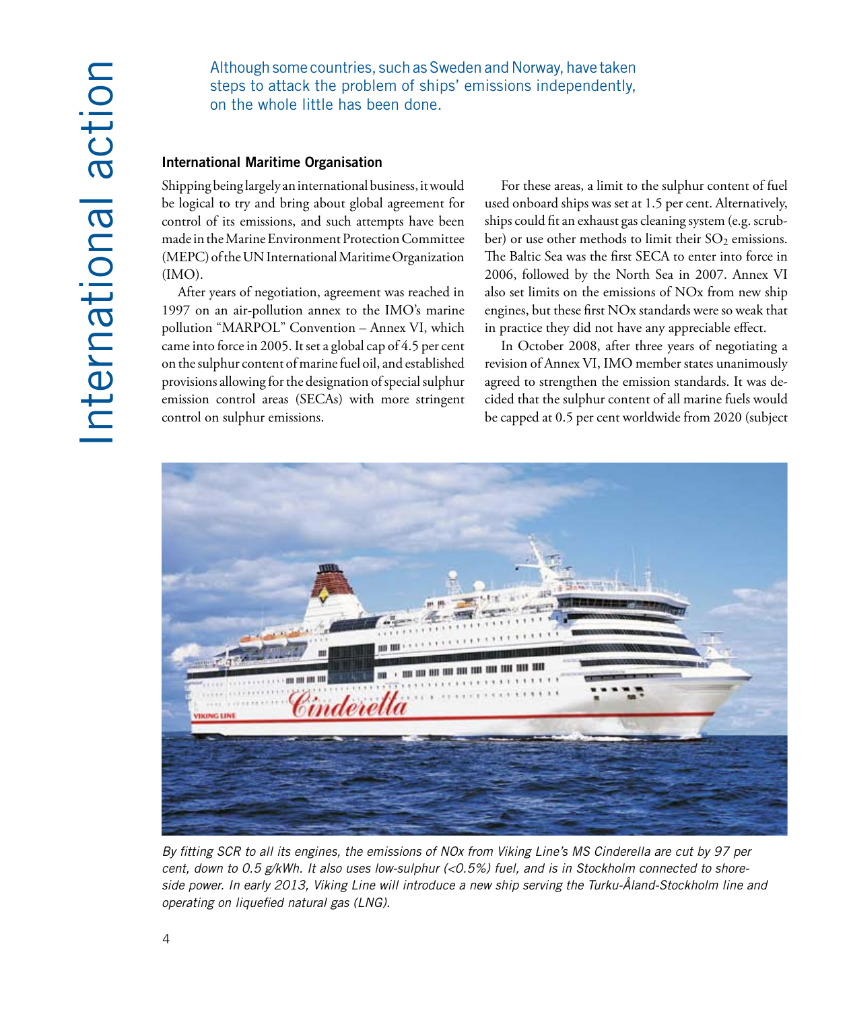Although some countries, such as Sweden and Norway, have taken steps to attack the problem of ships' emissions independently, on the whole little has been done.

#### **International Maritime Organisation**

Shipping being largely an international business, it would be logical to try and bring about global agreement for control of its emissions, and such attempts have been made in the Marine Environment Protection Committee (MEPC) of the UN International Maritime Organization (IMO).

After years of negotiation, agreement was reached in 1997 on an air-pollution annex to the IMO's marine pollution "MARPOL" Convention – Annex VI, which came into force in 2005. It set a global cap of 4.5 per cent on the sulphur content of marine fuel oil, and established provisions allowing for the designation of special sulphur emission control areas (SECAs) with more stringent control on sulphur emissions.

For these areas, a limit to the sulphur content of fuel used onboard ships was set at 1.5 per cent. Alternatively, ships could fit an exhaust gas cleaning system (e.g. scrubber) or use other methods to limit their  $SO_2$  emissions. The Baltic Sea was the first SECA to enter into force in 2006, followed by the North Sea in 2007. Annex VI also set limits on the emissions of NOx from new ship engines, but these first NOx standards were so weak that in practice they did not have any appreciable effect.

In October 2008, after three years of negotiating a revision of Annex VI, IMO member states unanimously agreed to strengthen the emission standards. It was decided that the sulphur content of all marine fuels would be capped at 0.5 per cent worldwide from 2020 (subject



*By fitting SCR to all its engines, the emissions of NOx from Viking Line's MS Cinderella are cut by 97 per cent, down to 0.5 g/kWh. It also uses low-sulphur (<0.5%) fuel, and is in Stockholm connected to shoreside power. In early 2013, Viking Line will introduce a new ship serving the Turku-Åland-Stockholm line and operating on liquefied natural gas (LNG).*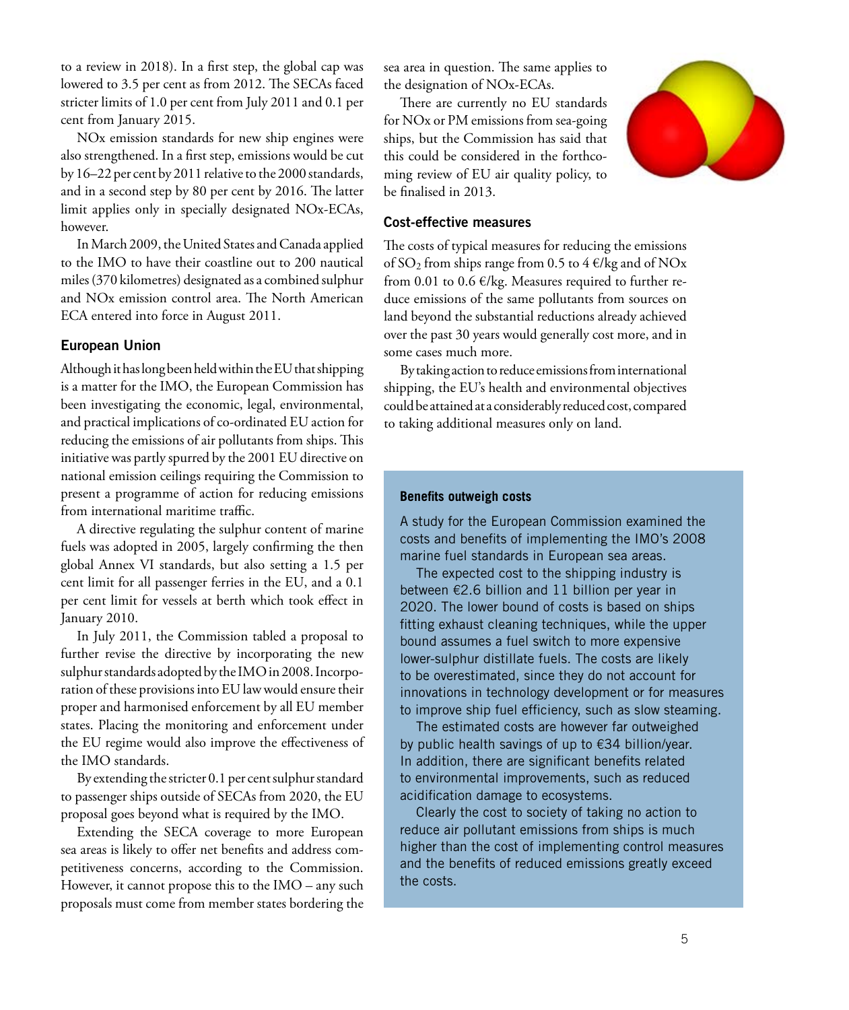to a review in 2018). In a first step, the global cap was lowered to 3.5 per cent as from 2012. The SECAs faced stricter limits of 1.0 per cent from July 2011 and 0.1 per cent from January 2015.

NOx emission standards for new ship engines were also strengthened. In a first step, emissions would be cut by 16–22 per cent by 2011 relative to the 2000 standards, and in a second step by 80 per cent by 2016. The latter limit applies only in specially designated NOx-ECAs, however.

In March 2009, the United States and Canada applied to the IMO to have their coastline out to 200 nautical miles (370 kilometres) designated as a combined sulphur and NOx emission control area. The North American ECA entered into force in August 2011.

#### **European Union**

Although it has long been held within the EU that shipping is a matter for the IMO, the European Commission has been investigating the economic, legal, environmental, and practical implications of co-ordinated EU action for reducing the emissions of air pollutants from ships. This initiative was partly spurred by the 2001 EU directive on national emission ceilings requiring the Commission to present a programme of action for reducing emissions from international maritime traffic.

A directive regulating the sulphur content of marine fuels was adopted in 2005, largely confirming the then global Annex VI standards, but also setting a 1.5 per cent limit for all passenger ferries in the EU, and a 0.1 per cent limit for vessels at berth which took effect in January 2010.

In July 2011, the Commission tabled a proposal to further revise the directive by incorporating the new sulphur standards adopted by the IMO in 2008. Incorporation of these provisions into EU law would ensure their proper and harmonised enforcement by all EU member states. Placing the monitoring and enforcement under the EU regime would also improve the effectiveness of the IMO standards.

By extending the stricter 0.1 per cent sulphur standard to passenger ships outside of SECAs from 2020, the EU proposal goes beyond what is required by the IMO.

Extending the SECA coverage to more European sea areas is likely to offer net benefits and address competitiveness concerns, according to the Commission. However, it cannot propose this to the IMO – any such proposals must come from member states bordering the sea area in question. The same applies to the designation of NOx-ECAs.

There are currently no EU standards for NOx or PM emissions from sea-going ships, but the Commission has said that this could be considered in the forthcoming review of EU air quality policy, to be finalised in 2013.



#### **Cost-effective measures**

The costs of typical measures for reducing the emissions of SO<sub>2</sub> from ships range from 0.5 to 4  $\epsilon$ /kg and of NO<sub>x</sub> from 0.01 to 0.6 €/kg. Measures required to further reduce emissions of the same pollutants from sources on land beyond the substantial reductions already achieved over the past 30 years would generally cost more, and in some cases much more.

By taking action to reduce emissions from international shipping, the EU's health and environmental objectives could be attained at a considerably reduced cost, compared to taking additional measures only on land.

#### **Benefits outweigh costs**

A study for the European Commission examined the costs and benefits of implementing the IMO's 2008 marine fuel standards in European sea areas.

The expected cost to the shipping industry is between €2.6 billion and 11 billion per year in 2020. The lower bound of costs is based on ships fitting exhaust cleaning techniques, while the upper bound assumes a fuel switch to more expensive lower-sulphur distillate fuels. The costs are likely to be overestimated, since they do not account for innovations in technology development or for measures to improve ship fuel efficiency, such as slow steaming.

The estimated costs are however far outweighed by public health savings of up to €34 billion/year. In addition, there are significant benefits related to environmental improvements, such as reduced acidification damage to ecosystems.

Clearly the cost to society of taking no action to reduce air pollutant emissions from ships is much higher than the cost of implementing control measures and the benefits of reduced emissions greatly exceed the costs.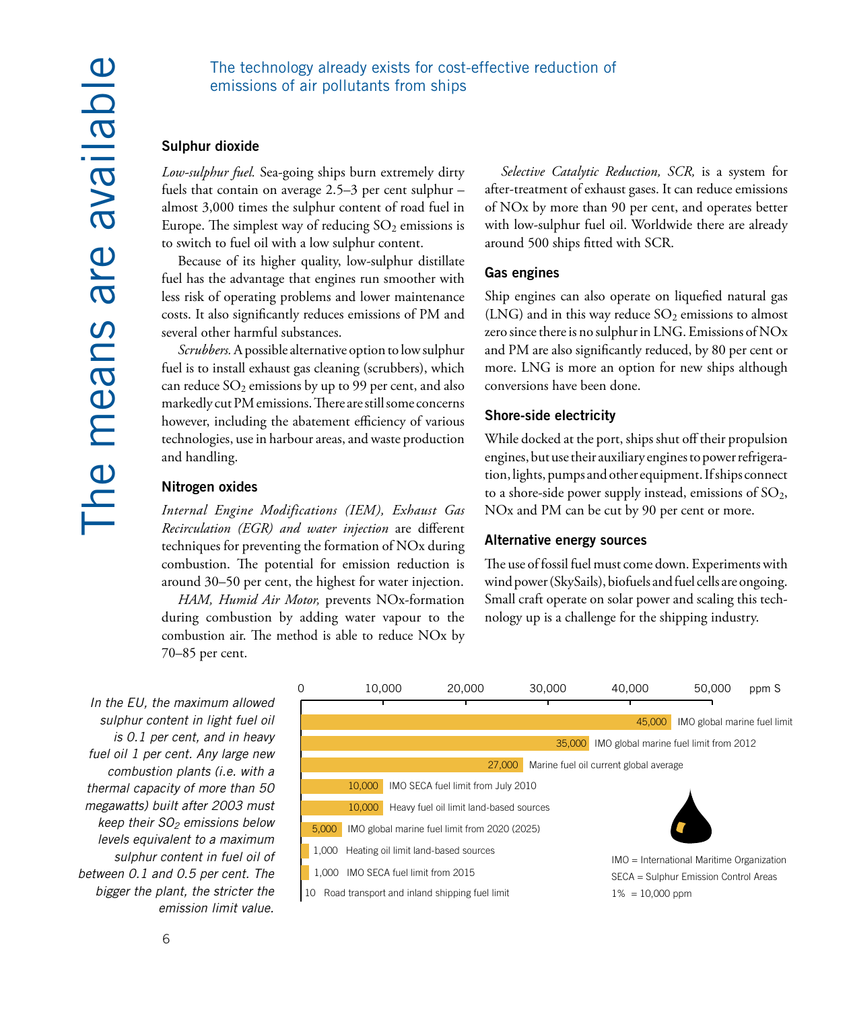#### The technology already exists for cost-effective reduction of emissions of air pollutants from ships

#### **Sulphur dioxide**

*Low-sulphur fuel.* Sea-going ships burn extremely dirty fuels that contain on average 2.5–3 per cent sulphur – almost 3,000 times the sulphur content of road fuel in Europe. The simplest way of reducing  $SO_2$  emissions is to switch to fuel oil with a low sulphur content.

Because of its higher quality, low-sulphur distillate fuel has the advantage that engines run smoother with less risk of operating problems and lower maintenance costs. It also significantly reduces emissions of PM and several other harmful substances.

*Scrubbers.* A possible alternative option to low sulphur fuel is to install exhaust gas cleaning (scrubbers), which can reduce  $SO_2$  emissions by up to 99 per cent, and also markedly cut PM emissions. There are still some concerns however, including the abatement efficiency of various technologies, use in harbour areas, and waste production and handling.

#### **Nitrogen oxides**

*Internal Engine Modifications (IEM), Exhaust Gas Recirculation (EGR) and water injection* are different techniques for preventing the formation of NOx during combustion. The potential for emission reduction is around 30–50 per cent, the highest for water injection.

*HAM, Humid Air Motor,* prevents NOx-formation during combustion by adding water vapour to the combustion air. The method is able to reduce NOx by 70–85 per cent.

*Selective Catalytic Reduction, SCR,* is a system for after-treatment of exhaust gases. It can reduce emissions of NOx by more than 90 per cent, and operates better with low-sulphur fuel oil. Worldwide there are already around 500 ships fitted with SCR.

#### **Gas engines**

Ship engines can also operate on liquefied natural gas (LNG) and in this way reduce  $SO_2$  emissions to almost zero since there is no sulphur in LNG. Emissions of NOx and PM are also significantly reduced, by 80 per cent or more. LNG is more an option for new ships although conversions have been done.

#### **Shore-side electricity**

While docked at the port, ships shut off their propulsion engines, but use their auxiliary engines to power refrigeration, lights, pumps and other equipment. If ships connect to a shore-side power supply instead, emissions of  $SO_2$ , NOx and PM can be cut by 90 per cent or more.

#### **Alternative energy sources**

The use of fossil fuel must come down. Experiments with wind power (SkySails), biofuels and fuel cells are ongoing. Small craft operate on solar power and scaling this technology up is a challenge for the shipping industry.

*In the EU, the maximum allowed sulphur content in light fuel oil is 0.1 per cent, and in heavy fuel oil 1 per cent. Any large new combustion plants (i.e. with a thermal capacity of more than 50 megawatts) built after 2003 must keep their SO2 emissions below levels equivalent to a maximum sulphur content in fuel oil of between 0.1 and 0.5 per cent. The bigger the plant, the stricter the emission limit value.*

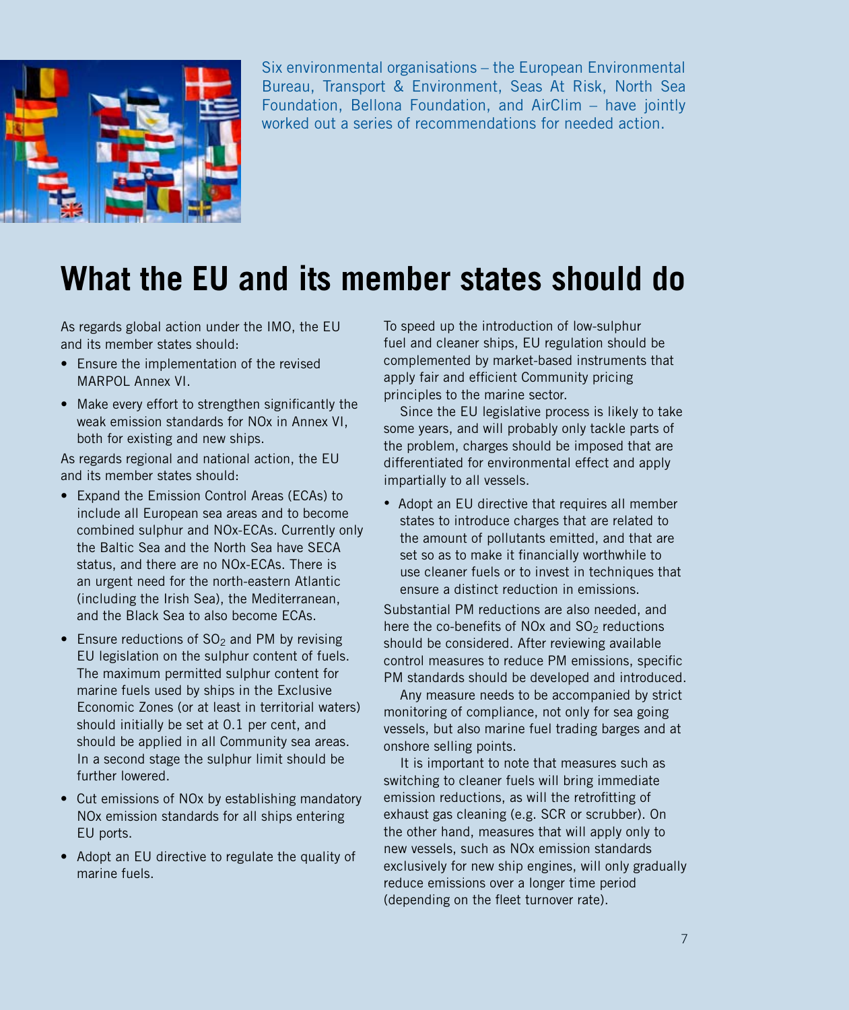

Six environmental organisations – the European Environmental Bureau, Transport & Environment, Seas At Risk, North Sea Foundation, Bellona Foundation, and AirClim – have jointly worked out a series of recommendations for needed action.

## **What the EU and its member states should do**

As regards global action under the IMO, the EU and its member states should:

- Ensure the implementation of the revised MARPOL Annex VI.
- Make every effort to strengthen significantly the weak emission standards for NOx in Annex VI, both for existing and new ships.

As regards regional and national action, the EU and its member states should:

- Expand the Emission Control Areas (ECAs) to include all European sea areas and to become combined sulphur and NOx-ECAs. Currently only the Baltic Sea and the North Sea have SECA status, and there are no NOx-ECAs. There is an urgent need for the north-eastern Atlantic (including the Irish Sea), the Mediterranean, and the Black Sea to also become ECAs.
- Ensure reductions of  $SO<sub>2</sub>$  and PM by revising EU legislation on the sulphur content of fuels. The maximum permitted sulphur content for marine fuels used by ships in the Exclusive Economic Zones (or at least in territorial waters) should initially be set at 0.1 per cent, and should be applied in all Community sea areas. In a second stage the sulphur limit should be further lowered.
- Cut emissions of NOx by establishing mandatory NOx emission standards for all ships entering EU ports.
- Adopt an EU directive to regulate the quality of marine fuels.

To speed up the introduction of low-sulphur fuel and cleaner ships, EU regulation should be complemented by market-based instruments that apply fair and efficient Community pricing principles to the marine sector.

Since the EU legislative process is likely to take some years, and will probably only tackle parts of the problem, charges should be imposed that are differentiated for environmental effect and apply impartially to all vessels.

• Adopt an EU directive that requires all member states to introduce charges that are related to the amount of pollutants emitted, and that are set so as to make it financially worthwhile to use cleaner fuels or to invest in techniques that ensure a distinct reduction in emissions.

Substantial PM reductions are also needed, and here the co-benefits of NOx and  $SO<sub>2</sub>$  reductions should be considered. After reviewing available control measures to reduce PM emissions, specific PM standards should be developed and introduced.

Any measure needs to be accompanied by strict monitoring of compliance, not only for sea going vessels, but also marine fuel trading barges and at onshore selling points.

It is important to note that measures such as switching to cleaner fuels will bring immediate emission reductions, as will the retrofitting of exhaust gas cleaning (e.g. SCR or scrubber). On the other hand, measures that will apply only to new vessels, such as NOx emission standards exclusively for new ship engines, will only gradually reduce emissions over a longer time period (depending on the fleet turnover rate).